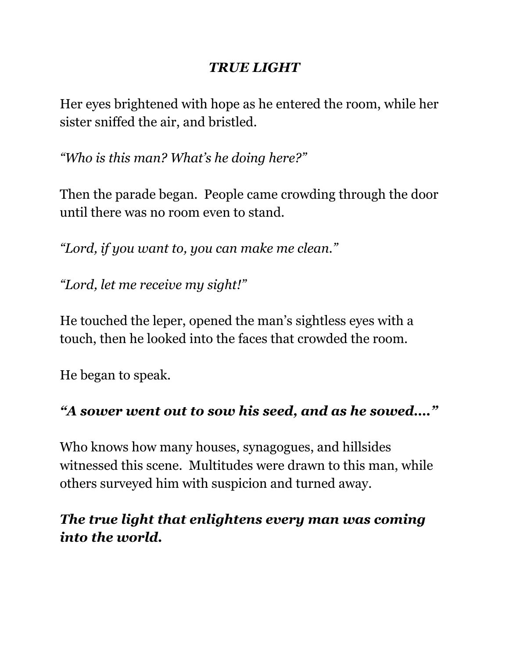#### *TRUE LIGHT*

Her eyes brightened with hope as he entered the room, while her sister sniffed the air, and bristled.

*"Who is this man? What's he doing here?"*

Then the parade began. People came crowding through the door until there was no room even to stand.

*"Lord, if you want to, you can make me clean."*

*"Lord, let me receive my sight!"*

He touched the leper, opened the man's sightless eyes with a touch, then he looked into the faces that crowded the room.

He began to speak.

# *"A sower went out to sow his seed, and as he sowed…."*

Who knows how many houses, synagogues, and hillsides witnessed this scene. Multitudes were drawn to this man, while others surveyed him with suspicion and turned away.

# *The true light that enlightens every man was coming into the world.*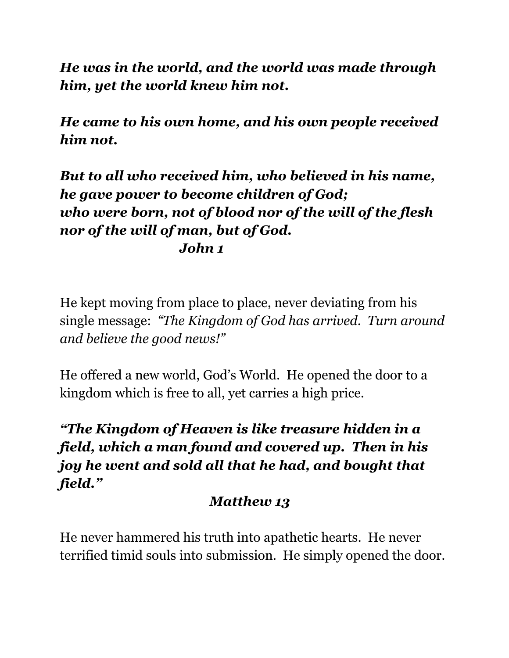*He was in the world, and the world was made through him, yet the world knew him not.*

*He came to his own home, and his own people received him not.*

#### *But to all who received him, who believed in his name, he gave power to become children of God; who were born, not of blood nor of the will of the flesh nor of the will of man, but of God. John 1*

He kept moving from place to place, never deviating from his single message: *"The Kingdom of God has arrived. Turn around and believe the good news!"*

He offered a new world, God's World. He opened the door to a kingdom which is free to all, yet carries a high price.

# *"The Kingdom of Heaven is like treasure hidden in a field, which a man found and covered up. Then in his joy he went and sold all that he had, and bought that field."*

# *Matthew 13*

He never hammered his truth into apathetic hearts. He never terrified timid souls into submission. He simply opened the door.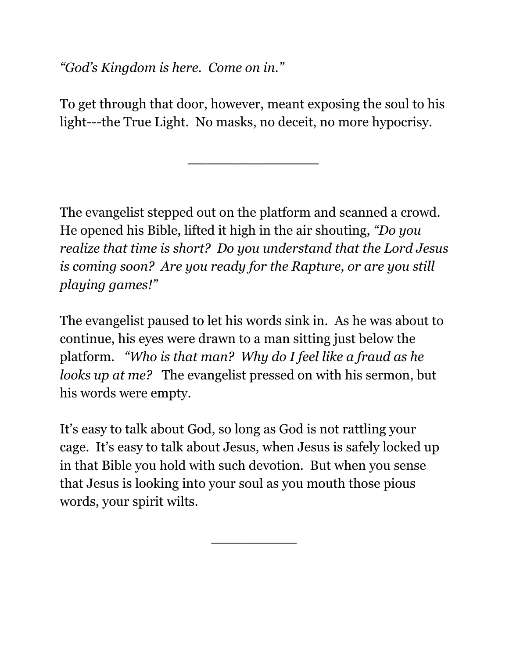*"God's Kingdom is here. Come on in."*

To get through that door, however, meant exposing the soul to his light---the True Light. No masks, no deceit, no more hypocrisy.

*\_\_\_\_\_\_\_\_\_\_\_\_\_\_*

The evangelist stepped out on the platform and scanned a crowd. He opened his Bible, lifted it high in the air shouting, *"Do you realize that time is short? Do you understand that the Lord Jesus is coming soon? Are you ready for the Rapture, or are you still playing games!"*

The evangelist paused to let his words sink in. As he was about to continue, his eyes were drawn to a man sitting just below the platform*. "Who is that man? Why do I feel like a fraud as he looks up at me?* The evangelist pressed on with his sermon, but his words were empty.

It's easy to talk about God, so long as God is not rattling your cage. It's easy to talk about Jesus, when Jesus is safely locked up in that Bible you hold with such devotion. But when you sense that Jesus is looking into your soul as you mouth those pious words, your spirit wilts.

\_\_\_\_\_\_\_\_\_\_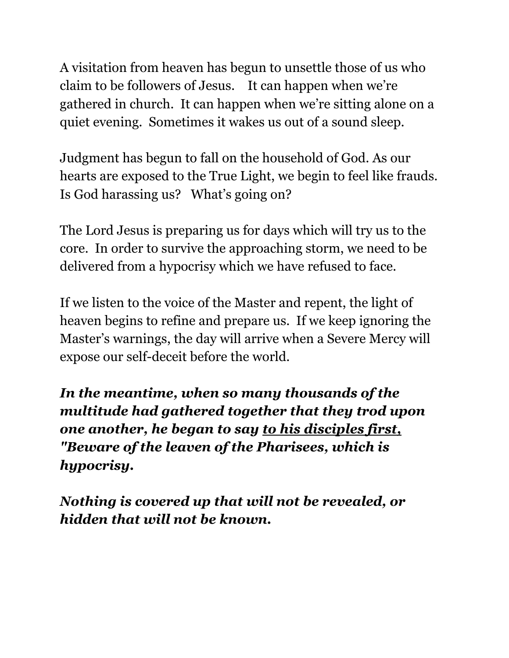A visitation from heaven has begun to unsettle those of us who claim to be followers of Jesus. It can happen when we're gathered in church. It can happen when we're sitting alone on a quiet evening. Sometimes it wakes us out of a sound sleep.

Judgment has begun to fall on the household of God. As our hearts are exposed to the True Light, we begin to feel like frauds. Is God harassing us? What's going on?

The Lord Jesus is preparing us for days which will try us to the core. In order to survive the approaching storm, we need to be delivered from a hypocrisy which we have refused to face.

If we listen to the voice of the Master and repent, the light of heaven begins to refine and prepare us. If we keep ignoring the Master's warnings, the day will arrive when a Severe Mercy will expose our self-deceit before the world.

*In the meantime, when so many thousands of the multitude had gathered together that they trod upon one another, he began to say to his disciples first, "Beware of the leaven of the Pharisees, which is hypocrisy.*

*Nothing is covered up that will not be revealed, or hidden that will not be known.*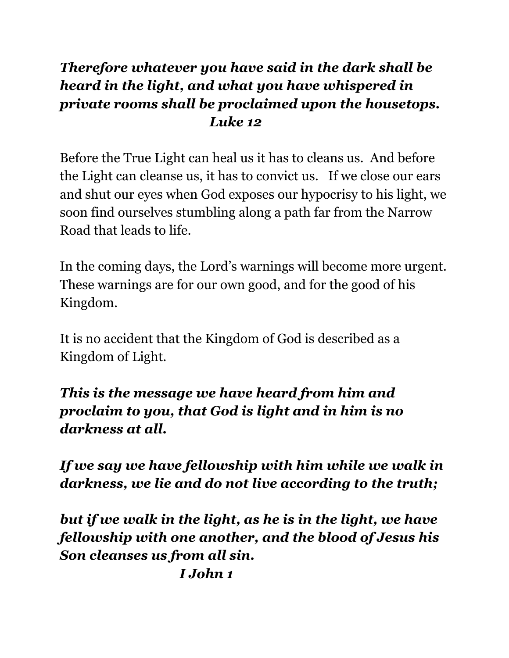#### *Therefore whatever you have said in the dark shall be heard in the light, and what you have whispered in private rooms shall be proclaimed upon the housetops. Luke 12*

Before the True Light can heal us it has to cleans us. And before the Light can cleanse us, it has to convict us. If we close our ears and shut our eyes when God exposes our hypocrisy to his light, we soon find ourselves stumbling along a path far from the Narrow Road that leads to life.

In the coming days, the Lord's warnings will become more urgent. These warnings are for our own good, and for the good of his Kingdom.

It is no accident that the Kingdom of God is described as a Kingdom of Light.

#### *This is the message we have heard from him and proclaim to you, that God is light and in him is no darkness at all.*

*If we say we have fellowship with him while we walk in darkness, we lie and do not live according to the truth;*

*but if we walk in the light, as he is in the light, we have fellowship with one another, and the blood of Jesus his Son cleanses us from all sin.*

*I John 1*